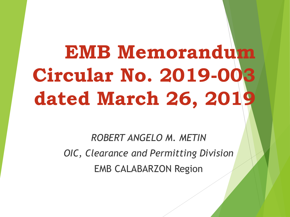*ROBERT ANGELO M. METIN OIC, Clearance and Permitting Division* EMB CALABARZON Region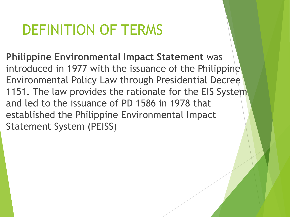**Philippine Environmental Impact Statement** was introduced in 1977 with the issuance of the Philippine Environmental Policy Law through Presidential Decree 1151. The law provides the rationale for the EIS System and led to the issuance of PD 1586 in 1978 that established the Philippine Environmental Impact Statement System (PEISS)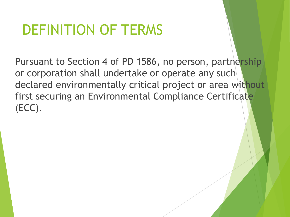Pursuant to Section 4 of PD 1586, no person, partnership or corporation shall undertake or operate any such declared environmentally critical project or area without first securing an Environmental Compliance Certificate (ECC).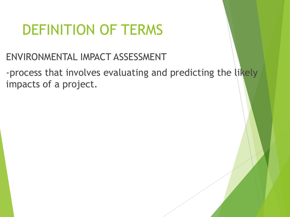#### ENVIRONMENTAL IMPACT ASSESSMENT

-process that involves evaluating and predicting the likely impacts of a project.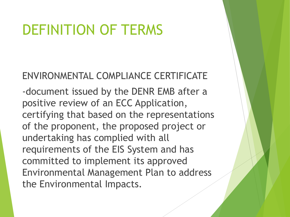#### ENVIRONMENTAL COMPLIANCE CERTIFICATE

-document issued by the DENR EMB after a positive review of an ECC Application, certifying that based on the representations of the proponent, the proposed project or undertaking has complied with all requirements of the EIS System and has committed to implement its approved Environmental Management Plan to address the Environmental Impacts.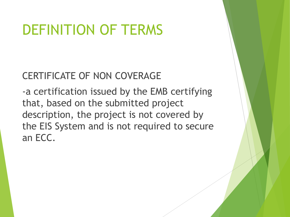#### CERTIFICATE OF NON COVERAGE

-a certification issued by the EMB certifying that, based on the submitted project description, the project is not covered by the EIS System and is not required to secure an ECC.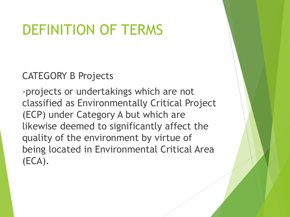CATEGORY B Projects

-projects or undertakings which are not classified as Environmentally Critical Project (ECP) under Category A but which are likewise deemed to significantly affect the quality of the environment by virtue of being located in Environmental Critical Area (ECA).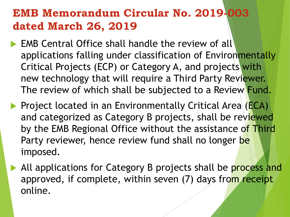- **EMB Central Office shall handle the review of all** applications falling under classification of Environmentally Critical Projects (ECP) or Category A, and projects with new technology that will require a Third Party Reviewer. The review of which shall be subjected to a Review Fund.
- **Project located in an Environmentally Critical Area (ECA)** and categorized as Category B projects, shall be reviewed by the EMB Regional Office without the assistance of Third Party reviewer, hence review fund shall no longer be imposed.
- All applications for Category B projects shall be process and approved, if complete, within seven (7) days from receipt online.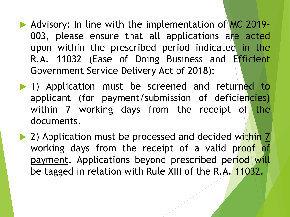- Advisory: In line with the implementation of MC 2019-003, please ensure that all applications are acted upon within the prescribed period indicated in the R.A. 11032 (Ease of Doing Business and Efficient Government Service Delivery Act of 2018):
- 1) Application must be screened and returned to applicant (for payment/submission of deficiencies) within 7 working days from the receipt of the documents.
- ▶ 2) Application must be processed and decided within 7 working days from the receipt of a valid proof of payment. Applications beyond prescribed period will be tagged in relation with Rule XIII of the R.A. 11032.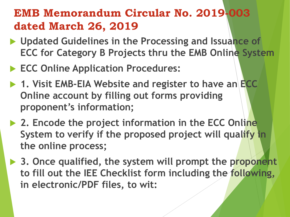- ▶ Updated Guidelines in the Processing and Issuance of **ECC for Category B Projects thru the EMB Online System**
- **ECC Online Application Procedures:**
- ▶ 1. Visit EMB-EIA Website and register to have an **ECC Online account by filling out forms providing proponent's information;**
- **▶ 2. Encode the project information in the ECC Online System to verify if the proposed project will qualify in the online process;**
- **▶ 3. Once qualified, the system will prompt the proponent to fill out the IEE Checklist form including the following, in electronic/PDF files, to wit:**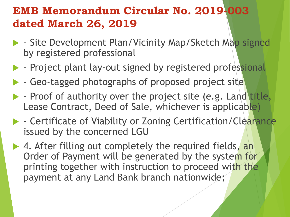- ▶ Site Development Plan/Vicinity Map/Sketch Map signed by registered professional
- **-** Project plant lay-out signed by registered professional
	- Geo-tagged photographs of proposed project site
- $\blacktriangleright$  Proof of authority over the project site (e.g. Land title, Lease Contract, Deed of Sale, whichever is applicable)
- **Certificate of Viability or Zoning Certification/Clearance** issued by the concerned LGU
- ▶ 4. After filling out completely the required fields, an Order of Payment will be generated by the system for printing together with instruction to proceed with the payment at any Land Bank branch nationwide;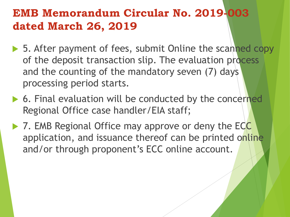- ▶ 5. After payment of fees, submit Online the scanned copy of the deposit transaction slip. The evaluation process and the counting of the mandatory seven (7) days processing period starts.
- ▶ 6. Final evaluation will be conducted by the concerned Regional Office case handler/EIA staff;
- ▶ 7. EMB Regional Office may approve or deny the ECC application, and issuance thereof can be printed online and/or through proponent's ECC online account.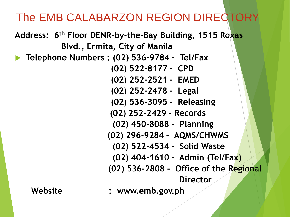#### The EMB CALABARZON REGION DIRECTORY

**Address: 6th Floor DENR-by-the-Bay Building, 1515 Roxas Blvd., Ermita, City of Manila**

**Telephone Numbers : (02) 536-9784 - Tel/Fax**

**(02) 522-8177 - CPD**

- **(02) 252-2521 - EMED**
- **(02) 252-2478 - Legal**
- **(02) 536-3095 - Releasing**
- **(02) 252-2429 - Records**
- **(02) 450-8088 - Planning**
- **(02) 296-9284 - AQMS/CHWMS**
	- **(02) 522-4534 - Solid Waste**
	- **(02) 404-1610 - Admin (Tel/Fax)**
- **(02) 536-2808 - Office of the Regional**

**Director**

**Website : www.emb.gov.ph**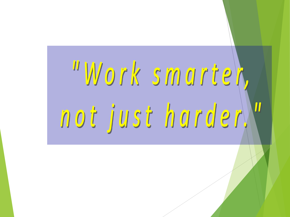# "Work smartek, not just harderN